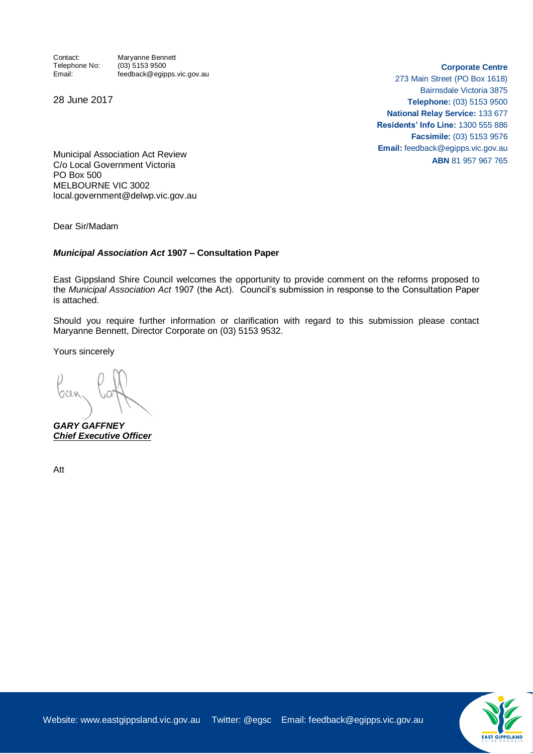Contact: Maryanne Bennett<br>Telephone No: (03) 5153 9500  $(03)$  5153 9500 Email: feedback@egipps.vic.gov.au

28 June 2017

**Corporate Centre**

273 Main Street (PO Box 1618) Bairnsdale Victoria 3875 **Telephone:** (03) 5153 9500 **National Relay Service:** 133 677 **Residents' Info Line:** 1300 555 886 **Facsimile:** (03) 5153 9576 **Email:** feedback@egipps.vic.gov.au **ABN** 81 957 967 765

Municipal Association Act Review C/o Local Government Victoria PO Box 500 MELBOURNE VIC 3002 local.government@delwp.vic.gov.au

Dear Sir/Madam

#### *Municipal Association Act* **1907 – Consultation Paper**

East Gippsland Shire Council welcomes the opportunity to provide comment on the reforms proposed to the *Municipal Association Act* 1907 (the Act). Council's submission in response to the Consultation Paper is attached.

Should you require further information or clarification with regard to this submission please contact Maryanne Bennett, Director Corporate on (03) 5153 9532.

Yours sincerely

*GARY GAFFNEY Chief Executive Officer*

Att

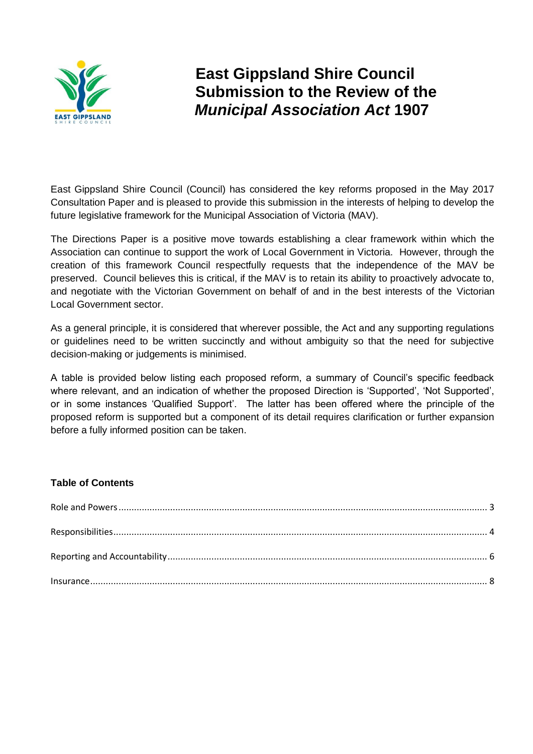

**East Gippsland Shire Council Submission to the Review of the**  *Municipal Association Act* **1907**

East Gippsland Shire Council (Council) has considered the key reforms proposed in the May 2017 Consultation Paper and is pleased to provide this submission in the interests of helping to develop the future legislative framework for the Municipal Association of Victoria (MAV).

The Directions Paper is a positive move towards establishing a clear framework within which the Association can continue to support the work of Local Government in Victoria. However, through the creation of this framework Council respectfully requests that the independence of the MAV be preserved. Council believes this is critical, if the MAV is to retain its ability to proactively advocate to, and negotiate with the Victorian Government on behalf of and in the best interests of the Victorian Local Government sector.

As a general principle, it is considered that wherever possible, the Act and any supporting regulations or guidelines need to be written succinctly and without ambiguity so that the need for subjective decision-making or judgements is minimised.

A table is provided below listing each proposed reform, a summary of Council's specific feedback where relevant, and an indication of whether the proposed Direction is 'Supported', 'Not Supported', or in some instances 'Qualified Support'. The latter has been offered where the principle of the proposed reform is supported but a component of its detail requires clarification or further expansion before a fully informed position can be taken.

#### **Table of Contents**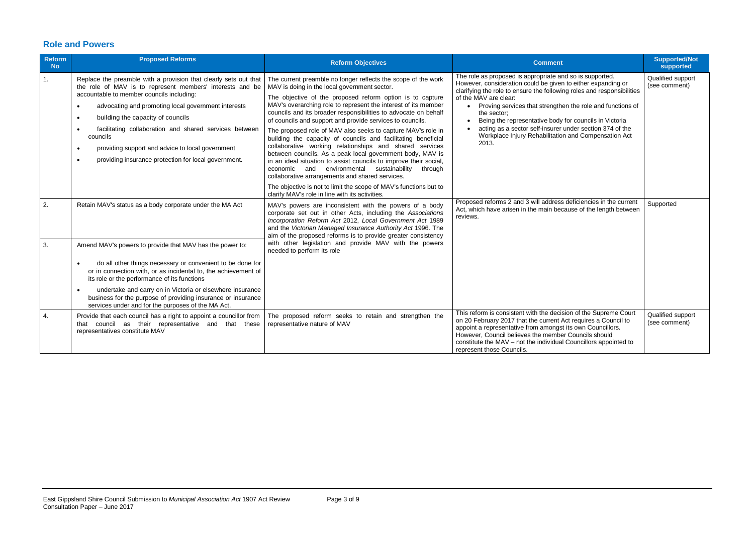### <span id="page-2-0"></span>**Role and Powers**

| <b>Reform</b><br><b>No</b> | <b>Proposed Reforms</b>                                                                                                                                                                                                                                                                                                                                                                                                                                                                                                   | <b>Reform Objectives</b>                                                                                                                                                                                                                                                                                                                                                                                                                                                                                                                                                                                                                                                                                                                                                                                                                                                                                                                      | <b>Comment</b>                                                                                                                                                                                                                                                                                                                                                                                                                                                                                    | <b>Supported/Not</b><br>supported  |
|----------------------------|---------------------------------------------------------------------------------------------------------------------------------------------------------------------------------------------------------------------------------------------------------------------------------------------------------------------------------------------------------------------------------------------------------------------------------------------------------------------------------------------------------------------------|-----------------------------------------------------------------------------------------------------------------------------------------------------------------------------------------------------------------------------------------------------------------------------------------------------------------------------------------------------------------------------------------------------------------------------------------------------------------------------------------------------------------------------------------------------------------------------------------------------------------------------------------------------------------------------------------------------------------------------------------------------------------------------------------------------------------------------------------------------------------------------------------------------------------------------------------------|---------------------------------------------------------------------------------------------------------------------------------------------------------------------------------------------------------------------------------------------------------------------------------------------------------------------------------------------------------------------------------------------------------------------------------------------------------------------------------------------------|------------------------------------|
| 1.                         | Replace the preamble with a provision that clearly sets out that<br>the role of MAV is to represent members' interests and be<br>accountable to member councils including:<br>advocating and promoting local government interests<br>$\bullet$<br>building the capacity of councils<br>$\bullet$<br>facilitating collaboration and shared services between<br>$\bullet$<br>councils<br>providing support and advice to local government<br>$\bullet$<br>providing insurance protection for local government.<br>$\bullet$ | The current preamble no longer reflects the scope of the work<br>MAV is doing in the local government sector.<br>The objective of the proposed reform option is to capture<br>MAV's overarching role to represent the interest of its member<br>councils and its broader responsibilities to advocate on behalf<br>of councils and support and provide services to councils.<br>The proposed role of MAV also seeks to capture MAV's role in<br>building the capacity of councils and facilitating beneficial<br>collaborative working relationships and shared services<br>between councils. As a peak local government body, MAV is<br>in an ideal situation to assist councils to improve their social,<br>economic and environmental sustainability<br>through<br>collaborative arrangements and shared services.<br>The objective is not to limit the scope of MAV's functions but to<br>clarify MAV's role in line with its activities. | The role as proposed is appropriate and so is supported.<br>However, consideration could be given to either expanding or<br>clarifying the role to ensure the following roles and responsibilities<br>of the MAV are clear:<br>• Proving services that strengthen the role and functions of<br>the sector;<br>Being the representative body for councils in Victoria<br>acting as a sector self-insurer under section 374 of the<br>Workplace Injury Rehabilitation and Compensation Act<br>2013. | Qualified support<br>(see comment) |
| 2.                         | Retain MAV's status as a body corporate under the MA Act                                                                                                                                                                                                                                                                                                                                                                                                                                                                  | MAV's powers are inconsistent with the powers of a body<br>corporate set out in other Acts, including the Associations<br>Incorporation Reform Act 2012, Local Government Act 1989<br>and the Victorian Managed Insurance Authority Act 1996. The<br>aim of the proposed reforms is to provide greater consistency                                                                                                                                                                                                                                                                                                                                                                                                                                                                                                                                                                                                                            | Proposed reforms 2 and 3 will address deficiencies in the current<br>Act, which have arisen in the main because of the length between<br>reviews.                                                                                                                                                                                                                                                                                                                                                 | Supported                          |
| 3.                         | Amend MAV's powers to provide that MAV has the power to:<br>do all other things necessary or convenient to be done for<br>$\bullet$<br>or in connection with, or as incidental to, the achievement of<br>its role or the performance of its functions<br>undertake and carry on in Victoria or elsewhere insurance<br>$\bullet$<br>business for the purpose of providing insurance or insurance<br>services under and for the purposes of the MA Act.                                                                     | with other legislation and provide MAV with the powers<br>needed to perform its role                                                                                                                                                                                                                                                                                                                                                                                                                                                                                                                                                                                                                                                                                                                                                                                                                                                          |                                                                                                                                                                                                                                                                                                                                                                                                                                                                                                   |                                    |
| 4.                         | Provide that each council has a right to appoint a councillor from<br>that council as their representative and that these<br>representatives constitute MAV                                                                                                                                                                                                                                                                                                                                                               | The proposed reform seeks to retain and strengthen the<br>representative nature of MAV                                                                                                                                                                                                                                                                                                                                                                                                                                                                                                                                                                                                                                                                                                                                                                                                                                                        | This reform is consistent with the decision of the Supreme Court<br>on 20 February 2017 that the current Act requires a Council to<br>appoint a representative from amongst its own Councillors.<br>However, Council believes the member Councils should<br>constitute the MAV - not the individual Councillors appointed to<br>represent those Councils.                                                                                                                                         | Qualified support<br>(see comment) |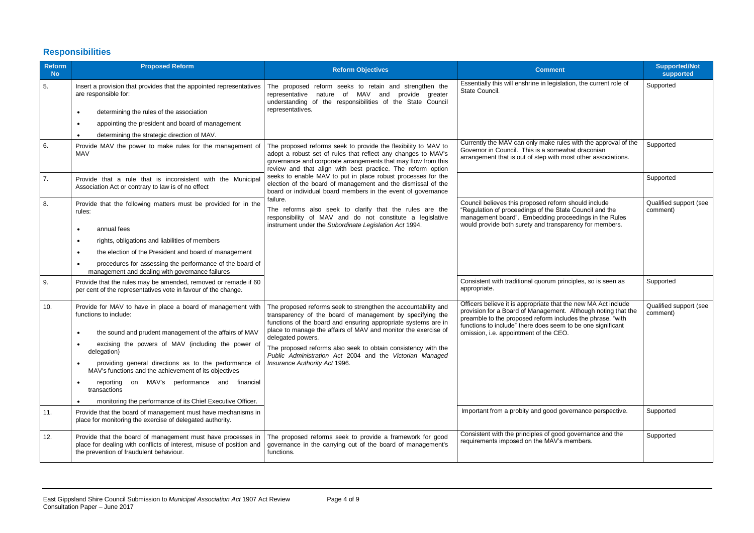# <span id="page-3-0"></span>**Responsibilities**

| <b>Reform</b><br><b>No</b> | <b>Proposed Reform</b>                                                                                                                                                                                                                                                                                                                                                                                                                                                                                                                                                                                                                  | <b>Reform Objectives</b>                                                                                                                                                                                                                                                                                                                                                                                                                           | <b>Comment</b>                                                                                                                                                                                                                                                                                                                                                      | <b>Supported/Not</b><br>supported               |
|----------------------------|-----------------------------------------------------------------------------------------------------------------------------------------------------------------------------------------------------------------------------------------------------------------------------------------------------------------------------------------------------------------------------------------------------------------------------------------------------------------------------------------------------------------------------------------------------------------------------------------------------------------------------------------|----------------------------------------------------------------------------------------------------------------------------------------------------------------------------------------------------------------------------------------------------------------------------------------------------------------------------------------------------------------------------------------------------------------------------------------------------|---------------------------------------------------------------------------------------------------------------------------------------------------------------------------------------------------------------------------------------------------------------------------------------------------------------------------------------------------------------------|-------------------------------------------------|
| 5.                         | Insert a provision that provides that the appointed representatives<br>are responsible for:<br>determining the rules of the association<br>$\bullet$<br>appointing the president and board of management<br>$\bullet$<br>determining the strategic direction of MAV.                                                                                                                                                                                                                                                                                                                                                                    | The proposed reform seeks to retain and strengthen the<br>representative nature of MAV and provide greater<br>understanding of the responsibilities of the State Council<br>representatives.                                                                                                                                                                                                                                                       | Essentially this will enshrine in legislation, the current role of<br>State Council.                                                                                                                                                                                                                                                                                | Supported                                       |
| 6.                         | Provide MAV the power to make rules for the management of<br><b>MAV</b>                                                                                                                                                                                                                                                                                                                                                                                                                                                                                                                                                                 | The proposed reforms seek to provide the flexibility to MAV to<br>adopt a robust set of rules that reflect any changes to MAV's<br>governance and corporate arrangements that may flow from this<br>review and that align with best practice. The reform option                                                                                                                                                                                    | Currently the MAV can only make rules with the approval of the<br>Governor in Council. This is a somewhat draconian<br>arrangement that is out of step with most other associations.                                                                                                                                                                                | Supported                                       |
| 7.                         | Provide that a rule that is inconsistent with the Municipal<br>Association Act or contrary to law is of no effect                                                                                                                                                                                                                                                                                                                                                                                                                                                                                                                       | seeks to enable MAV to put in place robust processes for the<br>election of the board of management and the dismissal of the<br>board or individual board members in the event of governance                                                                                                                                                                                                                                                       |                                                                                                                                                                                                                                                                                                                                                                     | Supported                                       |
| 8.                         | Provide that the following matters must be provided for in the<br>rules:<br>annual fees<br>$\bullet$<br>rights, obligations and liabilities of members<br>$\bullet$<br>the election of the President and board of management<br>$\bullet$<br>procedures for assessing the performance of the board of<br>management and dealing with governance failures                                                                                                                                                                                                                                                                                | failure.<br>The reforms also seek to clarify that the rules are the<br>responsibility of MAV and do not constitute a legislative<br>instrument under the Subordinate Legislation Act 1994.                                                                                                                                                                                                                                                         | Council believes this proposed reform should include<br>"Regulation of proceedings of the State Council and the<br>management board". Embedding proceedings in the Rules<br>would provide both surety and transparency for members.                                                                                                                                 | Qualified support (see<br>comment)              |
| 9.                         | Provide that the rules may be amended, removed or remade if 60<br>per cent of the representatives vote in favour of the change.                                                                                                                                                                                                                                                                                                                                                                                                                                                                                                         |                                                                                                                                                                                                                                                                                                                                                                                                                                                    | Consistent with traditional quorum principles, so is seen as<br>appropriate.                                                                                                                                                                                                                                                                                        | Supported                                       |
| 10.<br>11.                 | Provide for MAV to have in place a board of management with<br>functions to include:<br>the sound and prudent management of the affairs of MAV<br>excising the powers of MAV (including the power of<br>delegation)<br>providing general directions as to the performance of<br>$\bullet$<br>MAV's functions and the achievement of its objectives<br>reporting on MAV's performance and financial<br>$\bullet$<br>transactions<br>monitoring the performance of its Chief Executive Officer.<br>$\bullet$<br>Provide that the board of management must have mechanisms in<br>place for monitoring the exercise of delegated authority. | The proposed reforms seek to strengthen the accountability and<br>transparency of the board of management by specifying the<br>functions of the board and ensuring appropriate systems are in<br>place to manage the affairs of MAV and monitor the exercise of<br>delegated powers.<br>The proposed reforms also seek to obtain consistency with the<br>Public Administration Act 2004 and the Victorian Managed<br>Insurance Authority Act 1996. | Officers believe it is appropriate that the new MA Act include<br>provision for a Board of Management. Although noting that the<br>preamble to the proposed reform includes the phrase, "with<br>functions to include" there does seem to be one significant<br>omission, i.e. appointment of the CEO.<br>Important from a probity and good governance perspective. | Qualified support (see<br>comment)<br>Supported |
| 12.                        | Provide that the board of management must have processes in<br>place for dealing with conflicts of interest, misuse of position and<br>the prevention of fraudulent behaviour.                                                                                                                                                                                                                                                                                                                                                                                                                                                          | The proposed reforms seek to provide a framework for good<br>governance in the carrying out of the board of management's<br>functions.                                                                                                                                                                                                                                                                                                             | Consistent with the principles of good governance and the<br>requirements imposed on the MAV's members.                                                                                                                                                                                                                                                             | Supported                                       |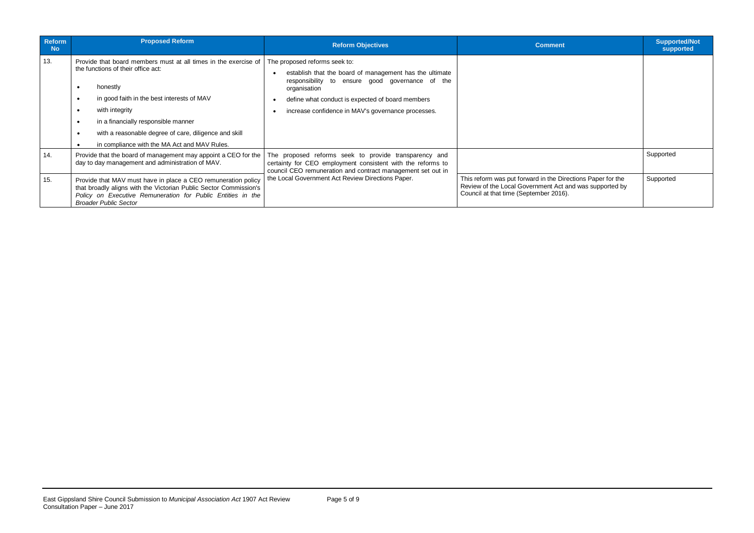| Reform<br><b>No</b> | <b>Proposed Reform</b>                                                                                                                                                                                                                                                                                                                                                                | <b>Reform Objectives</b>                                                                                                                                                                                                                                              | <b>Comment</b>                                                                                                                                                   | <b>Supported/Not</b><br>supported |
|---------------------|---------------------------------------------------------------------------------------------------------------------------------------------------------------------------------------------------------------------------------------------------------------------------------------------------------------------------------------------------------------------------------------|-----------------------------------------------------------------------------------------------------------------------------------------------------------------------------------------------------------------------------------------------------------------------|------------------------------------------------------------------------------------------------------------------------------------------------------------------|-----------------------------------|
| 13.                 | Provide that board members must at all times in the exercise of<br>the functions of their office act:<br>honestly<br>in good faith in the best interests of MAV<br>$\bullet$<br>with integrity<br>$\bullet$<br>in a financially responsible manner<br>$\bullet$<br>with a reasonable degree of care, diligence and skill<br>$\bullet$<br>in compliance with the MA Act and MAV Rules. | The proposed reforms seek to:<br>establish that the board of management has the ultimate<br>responsibility to ensure good governance of the<br>organisation<br>define what conduct is expected of board members<br>increase confidence in MAV's governance processes. |                                                                                                                                                                  |                                   |
| 14.                 | Provide that the board of management may appoint a CEO for the<br>day to day management and administration of MAV.                                                                                                                                                                                                                                                                    | The proposed reforms seek to provide transparency and<br>certainty for CEO employment consistent with the reforms to<br>council CEO remuneration and contract management set out in                                                                                   |                                                                                                                                                                  | Supported                         |
| 15.                 | Provide that MAV must have in place a CEO remuneration policy<br>that broadly aligns with the Victorian Public Sector Commission's<br>Policy on Executive Remuneration for Public Entities in the<br><b>Broader Public Sector</b>                                                                                                                                                     | the Local Government Act Review Directions Paper.                                                                                                                                                                                                                     | This reform was put forward in the Directions Paper for the<br>Review of the Local Government Act and was supported by<br>Council at that time (September 2016). | Supported                         |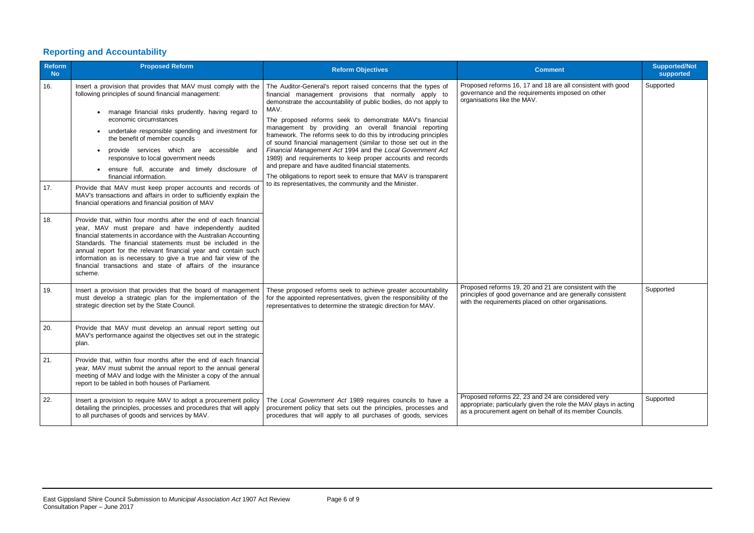# <span id="page-5-0"></span>**Reporting and Accountability**

| <b>Reform</b><br><b>No</b> | <b>Proposed Reform</b>                                                                                                                                                                                                                                                                                                                                                                                                                                                                                                                                                                                                                                                                                                                                                                                                                                                                                                                                                                                                                                                                                                                   | <b>Reform Objectives</b>                                                                                                                                                                                                                                                                                                                                                                                                                                                                                                                                                                                                                                                                                                                                                          | <b>Comment</b>                                                                                                                                                                     | <b>Supported/Not</b><br>supported |
|----------------------------|------------------------------------------------------------------------------------------------------------------------------------------------------------------------------------------------------------------------------------------------------------------------------------------------------------------------------------------------------------------------------------------------------------------------------------------------------------------------------------------------------------------------------------------------------------------------------------------------------------------------------------------------------------------------------------------------------------------------------------------------------------------------------------------------------------------------------------------------------------------------------------------------------------------------------------------------------------------------------------------------------------------------------------------------------------------------------------------------------------------------------------------|-----------------------------------------------------------------------------------------------------------------------------------------------------------------------------------------------------------------------------------------------------------------------------------------------------------------------------------------------------------------------------------------------------------------------------------------------------------------------------------------------------------------------------------------------------------------------------------------------------------------------------------------------------------------------------------------------------------------------------------------------------------------------------------|------------------------------------------------------------------------------------------------------------------------------------------------------------------------------------|-----------------------------------|
| 16.<br>17.<br>18.          | Insert a provision that provides that MAV must comply with the<br>following principles of sound financial management:<br>manage financial risks prudently. having regard to<br>economic circumstances<br>undertake responsible spending and investment for<br>the benefit of member councils<br>provide services which are accessible and<br>responsive to local government needs<br>ensure full, accurate and timely disclosure of<br>financial information.<br>Provide that MAV must keep proper accounts and records of<br>MAV's transactions and affairs in order to sufficiently explain the<br>financial operations and financial position of MAV<br>Provide that, within four months after the end of each financial<br>year, MAV must prepare and have independently audited<br>financial statements in accordance with the Australian Accounting<br>Standards. The financial statements must be included in the<br>annual report for the relevant financial year and contain such<br>information as is necessary to give a true and fair view of the<br>financial transactions and state of affairs of the insurance<br>scheme. | The Auditor-General's report raised concerns that the types of<br>financial management provisions that normally apply to<br>demonstrate the accountability of public bodies, do not apply to<br>MAV.<br>The proposed reforms seek to demonstrate MAV's financial<br>management by providing an overall financial reporting<br>framework. The reforms seek to do this by introducing principles<br>of sound financial management (similar to those set out in the<br>Financial Management Act 1994 and the Local Government Act<br>1989) and requirements to keep proper accounts and records<br>and prepare and have audited financial statements.<br>The obligations to report seek to ensure that MAV is transparent<br>to its representatives, the community and the Minister. | Proposed reforms 16, 17 and 18 are all consistent with good<br>governance and the requirements imposed on other<br>organisations like the MAV.                                     | Supported                         |
| 19.                        | Insert a provision that provides that the board of management<br>must develop a strategic plan for the implementation of the<br>strategic direction set by the State Council.                                                                                                                                                                                                                                                                                                                                                                                                                                                                                                                                                                                                                                                                                                                                                                                                                                                                                                                                                            | These proposed reforms seek to achieve greater accountability<br>for the appointed representatives, given the responsibility of the<br>representatives to determine the strategic direction for MAV.                                                                                                                                                                                                                                                                                                                                                                                                                                                                                                                                                                              | Proposed reforms 19, 20 and 21 are consistent with the<br>principles of good governance and are generally consistent<br>with the requirements placed on other organisations.       | Supported                         |
| 20.                        | Provide that MAV must develop an annual report setting out<br>MAV's performance against the objectives set out in the strategic<br>plan.                                                                                                                                                                                                                                                                                                                                                                                                                                                                                                                                                                                                                                                                                                                                                                                                                                                                                                                                                                                                 |                                                                                                                                                                                                                                                                                                                                                                                                                                                                                                                                                                                                                                                                                                                                                                                   |                                                                                                                                                                                    |                                   |
| 21.                        | Provide that, within four months after the end of each financial<br>year, MAV must submit the annual report to the annual general<br>meeting of MAV and lodge with the Minister a copy of the annual<br>report to be tabled in both houses of Parliament.                                                                                                                                                                                                                                                                                                                                                                                                                                                                                                                                                                                                                                                                                                                                                                                                                                                                                |                                                                                                                                                                                                                                                                                                                                                                                                                                                                                                                                                                                                                                                                                                                                                                                   |                                                                                                                                                                                    |                                   |
| 22.                        | Insert a provision to require MAV to adopt a procurement policy<br>detailing the principles, processes and procedures that will apply<br>to all purchases of goods and services by MAV.                                                                                                                                                                                                                                                                                                                                                                                                                                                                                                                                                                                                                                                                                                                                                                                                                                                                                                                                                  | The Local Government Act 1989 requires councils to have a<br>procurement policy that sets out the principles, processes and<br>procedures that will apply to all purchases of goods, services                                                                                                                                                                                                                                                                                                                                                                                                                                                                                                                                                                                     | Proposed reforms 22, 23 and 24 are considered very<br>appropriate; particularly given the role the MAV plays in acting<br>as a procurement agent on behalf of its member Councils. | Supported                         |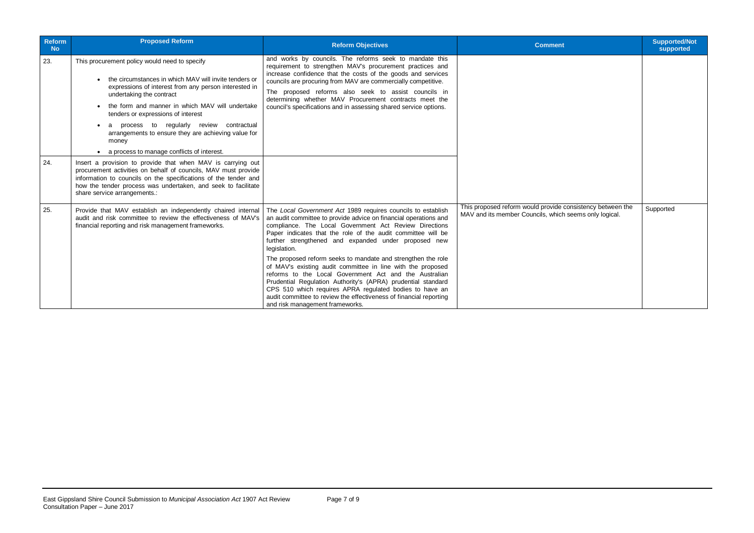| <b>Reform</b><br><b>No</b> | <b>Proposed Reform</b>                                                                                                                                                                                                                                                                                                                                                                            | <b>Reform Objectives</b>                                                                                                                                                                                                                                                                                                                                                                                                                                                                                                                                                                                                                                                                                                                                        | <b>Comment</b>                                                                                                       | <b>Supported/Not</b><br>supported |
|----------------------------|---------------------------------------------------------------------------------------------------------------------------------------------------------------------------------------------------------------------------------------------------------------------------------------------------------------------------------------------------------------------------------------------------|-----------------------------------------------------------------------------------------------------------------------------------------------------------------------------------------------------------------------------------------------------------------------------------------------------------------------------------------------------------------------------------------------------------------------------------------------------------------------------------------------------------------------------------------------------------------------------------------------------------------------------------------------------------------------------------------------------------------------------------------------------------------|----------------------------------------------------------------------------------------------------------------------|-----------------------------------|
| 23.                        | This procurement policy would need to specify<br>the circumstances in which MAV will invite tenders or<br>expressions of interest from any person interested in<br>undertaking the contract<br>the form and manner in which MAV will undertake<br>tenders or expressions of interest<br>a process to regularly review contractual<br>arrangements to ensure they are achieving value for<br>money | and works by councils. The reforms seek to mandate this<br>requirement to strengthen MAV's procurement practices and<br>increase confidence that the costs of the goods and services<br>councils are procuring from MAV are commercially competitive.<br>The proposed reforms also seek to assist councils in<br>determining whether MAV Procurement contracts meet the<br>council's specifications and in assessing shared service options.                                                                                                                                                                                                                                                                                                                    |                                                                                                                      |                                   |
| 24.                        | a process to manage conflicts of interest.<br>Insert a provision to provide that when MAV is carrying out<br>procurement activities on behalf of councils, MAV must provide<br>information to councils on the specifications of the tender and<br>how the tender process was undertaken, and seek to facilitate<br>share service arrangements.:                                                   |                                                                                                                                                                                                                                                                                                                                                                                                                                                                                                                                                                                                                                                                                                                                                                 |                                                                                                                      |                                   |
| 25.                        | Provide that MAV establish an independently chaired internal<br>audit and risk committee to review the effectiveness of MAV's<br>financial reporting and risk management frameworks.                                                                                                                                                                                                              | The Local Government Act 1989 requires councils to establish<br>an audit committee to provide advice on financial operations and<br>compliance. The Local Government Act Review Directions<br>Paper indicates that the role of the audit committee will be<br>further strengthened and expanded under proposed new<br>legislation.<br>The proposed reform seeks to mandate and strengthen the role<br>of MAV's existing audit committee in line with the proposed<br>reforms to the Local Government Act and the Australian<br>Prudential Regulation Authority's (APRA) prudential standard<br>CPS 510 which requires APRA regulated bodies to have an<br>audit committee to review the effectiveness of financial reporting<br>and risk management frameworks. | This proposed reform would provide consistency between the<br>MAV and its member Councils, which seems only logical. | Supported                         |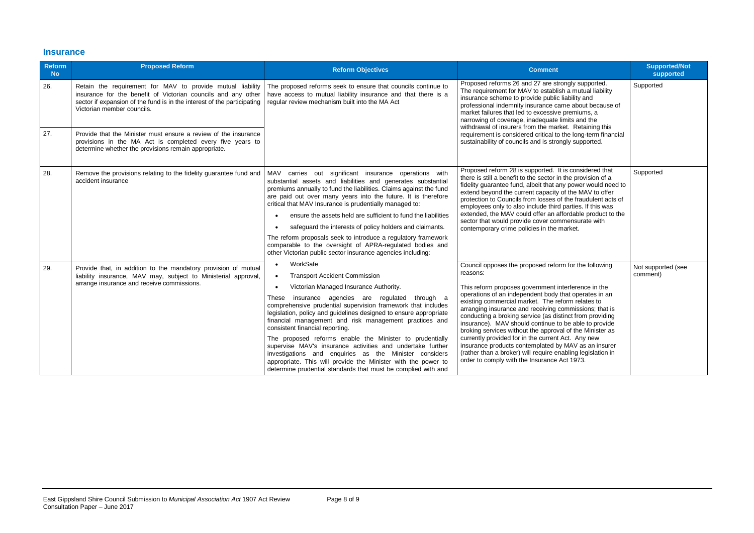### <span id="page-7-0"></span>**Insurance**

| <b>Reform</b><br><b>No</b> | <b>Proposed Reform</b>                                                                                                                                                                                                               | <b>Reform Objectives</b>                                                                                                                                                                                                                                                                                                                                                                                                                                                                                                 | <b>Comment</b>                                                                                                                                                                                                                                                                                                                                                                | <b>Supported/Not</b><br>supported |           |
|----------------------------|--------------------------------------------------------------------------------------------------------------------------------------------------------------------------------------------------------------------------------------|--------------------------------------------------------------------------------------------------------------------------------------------------------------------------------------------------------------------------------------------------------------------------------------------------------------------------------------------------------------------------------------------------------------------------------------------------------------------------------------------------------------------------|-------------------------------------------------------------------------------------------------------------------------------------------------------------------------------------------------------------------------------------------------------------------------------------------------------------------------------------------------------------------------------|-----------------------------------|-----------|
| 26.                        | Retain the requirement for MAV to provide mutual liability<br>insurance for the benefit of Victorian councils and any other<br>sector if expansion of the fund is in the interest of the participating<br>Victorian member councils. | Proposed reforms 26 and 27 are strongly supported.<br>The proposed reforms seek to ensure that councils continue to<br>The requirement for MAV to establish a mutual liability<br>have access to mutual liability insurance and that there is a<br>insurance scheme to provide public liability and<br>regular review mechanism built into the MA Act<br>professional indemnity insurance came about because of<br>market failures that led to excessive premiums, a<br>narrowing of coverage, inadequate limits and the |                                                                                                                                                                                                                                                                                                                                                                               |                                   | Supported |
| 27.                        | Provide that the Minister must ensure a review of the insurance<br>provisions in the MA Act is completed every five years to<br>determine whether the provisions remain appropriate.                                                 |                                                                                                                                                                                                                                                                                                                                                                                                                                                                                                                          | withdrawal of insurers from the market. Retaining this<br>requirement is considered critical to the long-term financial<br>sustainability of councils and is strongly supported.                                                                                                                                                                                              |                                   |           |
| 28.                        | Remove the provisions relating to the fidelity guarantee fund and<br>accident insurance                                                                                                                                              | MAV carries out significant insurance operations with<br>substantial assets and liabilities and generates substantial<br>premiums annually to fund the liabilities. Claims against the fund<br>are paid out over many years into the future. It is therefore<br>critical that MAV Insurance is prudentially managed to:                                                                                                                                                                                                  | Proposed reform 28 is supported. It is considered that<br>there is still a benefit to the sector in the provision of a<br>fidelity guarantee fund, albeit that any power would need to<br>extend beyond the current capacity of the MAV to offer<br>protection to Councils from losses of the fraudulent acts of<br>employees only to also include third parties. If this was | Supported                         |           |
|                            |                                                                                                                                                                                                                                      | ensure the assets held are sufficient to fund the liabilities                                                                                                                                                                                                                                                                                                                                                                                                                                                            | extended, the MAV could offer an affordable product to the<br>sector that would provide cover commensurate with                                                                                                                                                                                                                                                               |                                   |           |
|                            |                                                                                                                                                                                                                                      | safeguard the interests of policy holders and claimants.<br>contemporary crime policies in the market.<br>The reform proposals seek to introduce a regulatory framework<br>comparable to the oversight of APRA-regulated bodies and<br>other Victorian public sector insurance agencies including:                                                                                                                                                                                                                       |                                                                                                                                                                                                                                                                                                                                                                               |                                   |           |
| 29.                        | Provide that, in addition to the mandatory provision of mutual<br>liability insurance, MAV may, subject to Ministerial approval,<br>arrange insurance and receive commissions.                                                       | WorkSafe<br>$\bullet$                                                                                                                                                                                                                                                                                                                                                                                                                                                                                                    | Council opposes the proposed reform for the following<br>reasons:                                                                                                                                                                                                                                                                                                             | Not supported (see<br>comment)    |           |
|                            |                                                                                                                                                                                                                                      | <b>Transport Accident Commission</b><br>$\bullet$<br>Victorian Managed Insurance Authority.                                                                                                                                                                                                                                                                                                                                                                                                                              | This reform proposes government interference in the                                                                                                                                                                                                                                                                                                                           |                                   |           |
|                            |                                                                                                                                                                                                                                      | insurance agencies are regulated through a<br>These<br>comprehensive prudential supervision framework that includes<br>legislation, policy and guidelines designed to ensure appropriate<br>financial management and risk management practices and<br>consistent financial reporting.                                                                                                                                                                                                                                    | operations of an independent body that operates in an<br>existing commercial market. The reform relates to<br>arranging insurance and receiving commissions; that is<br>conducting a broking service (as distinct from providing<br>insurance). MAV should continue to be able to provide<br>broking services without the approval of the Minister as                         |                                   |           |
|                            |                                                                                                                                                                                                                                      | The proposed reforms enable the Minister to prudentially<br>supervise MAV's insurance activities and undertake further<br>investigations and enquiries as the Minister considers<br>appropriate. This will provide the Minister with the power to<br>determine prudential standards that must be complied with and                                                                                                                                                                                                       | currently provided for in the current Act. Any new<br>insurance products contemplated by MAV as an insurer<br>(rather than a broker) will require enabling legislation in<br>order to comply with the Insurance Act 1973.                                                                                                                                                     |                                   |           |